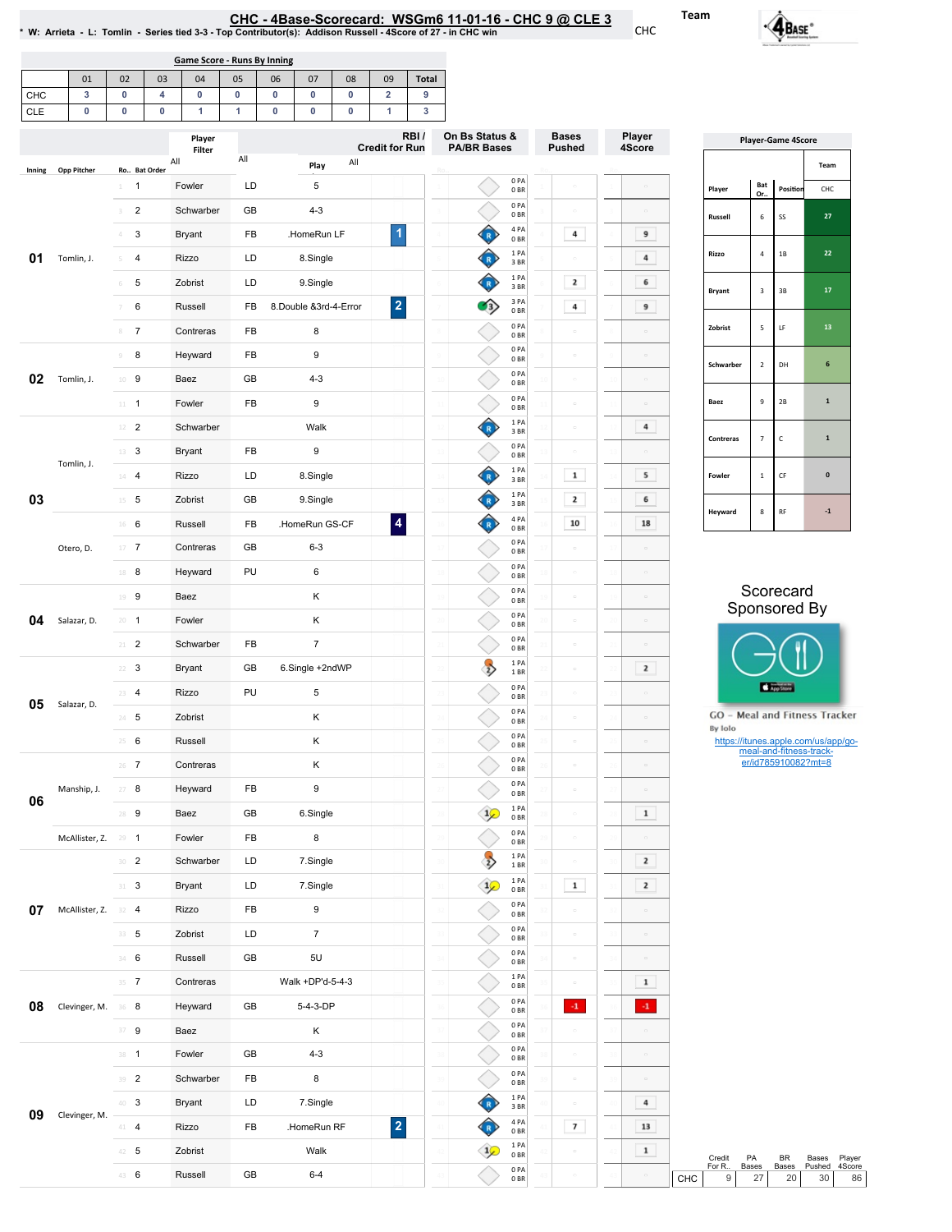## EHC - 4Base-Scorecard: WSGm6 11-01-16 - CHC 9 @ CLE 3 هـ CHC - 4Base-Scorecard: WSGm6 11-01-16<br>W: Arrieta - L: Tomlin - Series tied 3-3 - Top Contributor(s): Addison Russell - 4Score of 27 - in CHC win \*

|            | Game Score - Runs By Inning |    |    |    |    |    |    |    |    |              |  |  |  |  |
|------------|-----------------------------|----|----|----|----|----|----|----|----|--------------|--|--|--|--|
|            | 01                          | 02 | 03 | 04 | 05 | 06 | 07 | 08 | 09 | <b>Total</b> |  |  |  |  |
| <b>CHC</b> |                             |    |    |    |    |    |    |    |    |              |  |  |  |  |
| <b>CLE</b> |                             |    |    |    |    |    |    |    |    |              |  |  |  |  |

|    |                     |                          | Player<br>Filter    |          |                       | RBI/<br><b>Credit for Run</b> | On Bs Status &<br><b>PA/BR Bases</b> |                                      | <b>Bases</b><br><b>Pushed</b> | Player<br>4Score |                               |                          | <b>Player-Game 4Score</b>                      |                                     |
|----|---------------------|--------------------------|---------------------|----------|-----------------------|-------------------------------|--------------------------------------|--------------------------------------|-------------------------------|------------------|-------------------------------|--------------------------|------------------------------------------------|-------------------------------------|
|    | Inning Opp Pitcher  | Ro Bat Order             | All                 | All      | All<br>Play           |                               |                                      |                                      |                               |                  |                               |                          |                                                | Team                                |
|    |                     | $\overline{1}$<br>1      | Fowler              | LD       | $\sqrt{5}$            |                               |                                      | 0PA<br>0 <sub>BR</sub>               |                               |                  | Player                        | Bat<br>Or.               | Position                                       | $\mathsf{CHC}$                      |
|    |                     | $\overline{2}$<br>3      | Schwarber           | GB       | $4 - 3$               |                               |                                      | 0PA<br>0BR                           |                               |                  | Russell                       | 6                        | SS                                             | 27                                  |
|    |                     | 3<br>4                   | <b>Bryant</b>       | FB       | .HomeRun LF           | $\blacktriangleleft$          | Ô                                    | 4 PA<br>0BR                          | 4                             | 9                |                               |                          |                                                |                                     |
| 01 | Tomlin, J.          | $\overline{4}$<br>$5 -$  | Rizzo               | LD       | 8.Single              |                               | Ô                                    | 1PA<br>3BR                           |                               | 4                | Rizzo                         | $\overline{4}$           | $1\mathrm{B}$                                  | 22                                  |
|    |                     | 5<br>$\,$ 6 $\,$         | Zobrist             | LD       | 9.Single              |                               | (R)                                  | 1PA<br>3BR                           | $\mathbf{z}$                  | 6                |                               |                          |                                                |                                     |
|    |                     | 6<br>$\overline{7}$      | Russell             | FB       | 8.Double &3rd-4-Error | $\overline{\mathbf{2}}$       | O3)                                  | 3 PA<br>0BR                          | 4                             | 9                | <b>Bryant</b>                 | $\mathsf3$               | 3B                                             | $17\,$                              |
|    |                     | $\overline{7}$<br>8      | Contreras           | FB       | 8                     |                               |                                      | 0PA<br>0BR                           |                               |                  | Zobrist                       | $\overline{\phantom{a}}$ | LF                                             | 13                                  |
|    |                     | 8<br>$\circledcirc$      | Heyward             | FB       | 9                     |                               |                                      | 0PA<br>0BR                           |                               |                  |                               |                          |                                                |                                     |
| 02 | Tomlin, J.          | 10 9                     | Baez                | GB       | $4 - 3$               |                               |                                      | 0PA<br>0BR                           |                               |                  | Schwarber                     | $\overline{2}$           | DH                                             | $\boldsymbol{6}$                    |
|    |                     | $11 - 1$                 | Fowler              | FB       | 9                     |                               |                                      | 0PA<br>0BR                           |                               |                  | Baez                          | $\mathsf g$              | 2B                                             | $\mathbf 1$                         |
|    |                     | $12 \t 2$                | Schwarber           |          | Walk                  |                               | $\left( R\right)$                    | 1PA<br>3BR                           | $\Box$                        | $\overline{a}$   |                               |                          |                                                |                                     |
|    |                     | $13$ 3                   | <b>Bryant</b>       | FB       | 9                     |                               |                                      | 0PA<br>0 <sub>BR</sub>               |                               |                  | Contreras                     | $\overline{7}$           | $\mathsf{C}$                                   | $\mathbf 1$                         |
|    | Tomlin, J.          | $14 - 4$                 | Rizzo               | LD       | 8.Single              |                               | ô                                    | 1PA<br>3 BR                          | $\mathbf 1$                   | 5                | Fowler                        | $1\,$                    | $\mathsf{CF}$                                  | $\pmb{0}$                           |
| 03 |                     | $15 - 5$                 | Zobrist             | GB       | 9.Single              |                               | $\mathbb{R}$                         | 1 PA<br>3BR                          | $\mathbf{z}$                  | 6                |                               |                          |                                                |                                     |
|    |                     | 16 6                     | Russell             | FB       | .HomeRun GS-CF        | $\overline{\mathbf{A}}$       | Ô                                    | 4 PA                                 | 10                            | 18               | Heyward                       | $\bf8$                   | RF                                             | $^{\rm -1}$                         |
|    | Otero, D.           | $17 - 7$                 | Contreras           | GB       | $6 - 3$               |                               |                                      | 0 <sub>BR</sub><br>0PA               |                               |                  |                               |                          |                                                |                                     |
|    |                     | 18 8                     | Heyward             | PU       | 6                     |                               |                                      | 0 <sub>BR</sub><br>0PA               | $\Box$                        |                  |                               |                          |                                                |                                     |
|    |                     | $19 - 9$                 | Baez                |          | Κ                     |                               |                                      | 0BR<br>0PA                           | $\hfill \square$              |                  |                               |                          | Scorecard                                      |                                     |
| 04 | Salazar, D.         | $20 - 1$                 | Fowler              |          | Κ                     |                               |                                      | 0BR<br>0PA                           | $\hfill \square$              |                  |                               |                          | Sponsored By                                   |                                     |
|    |                     | $\overline{2}$<br>$21 -$ | Schwarber           | FB       | $\overline{7}$        |                               |                                      | 0 <sub>BR</sub><br>0PA               |                               |                  |                               |                          |                                                |                                     |
|    |                     | $22 - 3$                 | <b>Bryant</b>       | GB       | 6.Single +2ndWP       |                               | $\frac{1}{2}$                        | 0BR<br>1PA                           |                               | $\mathbf{z}$     |                               |                          |                                                |                                     |
|    |                     | $23 - 4$                 | Rizzo               | PU       | $\sqrt{5}$            |                               |                                      | 1 BR<br>0PA                          |                               |                  |                               |                          | App Store                                      |                                     |
| 05 | Salazar, D.         | $24 - 5$                 | Zobrist             |          | Κ                     |                               |                                      | 0BR<br>0PA                           | $\alpha$                      |                  | GO - Meal and Fitness Tracker |                          |                                                |                                     |
|    |                     | $25 - 6$                 | Russell             |          | Κ                     |                               |                                      | 0BR<br>0PA                           | $\hfill \square$              |                  | By Iolo                       |                          |                                                | https://itunes.apple.com/us/app/go- |
|    |                     | $26$ 7                   | Contreras           |          | Κ                     |                               |                                      | 0BR<br>0PA                           |                               |                  |                               |                          | meal-and-fitness-track-<br>er/id785910082?mt=8 |                                     |
|    | Manship, J.         |                          |                     | FB       | 9                     |                               |                                      | 0B<br>0PA                            |                               |                  |                               |                          |                                                |                                     |
| 06 |                     | $27 - 8$<br>28 9         | Heyward<br>Baez     | GB       | 6.Single              |                               | $\frac{1}{2}$                        | 0BR<br>1 PA                          |                               | $\mathbf 1$      |                               |                          |                                                |                                     |
|    |                     |                          |                     |          |                       |                               |                                      | 0 <sub>BR</sub><br>0 PA              |                               |                  |                               |                          |                                                |                                     |
|    | McAllister, Z. 29 1 | 30 <sup>2</sup>          | Fowler<br>Schwarber | FB<br>LD | 8<br>7.Single         |                               | $\rightarrow$                        | $0\;\mathrm{BR}$<br>$1\ \mathsf{PA}$ |                               | $\mathbf{z}$     |                               |                          |                                                |                                     |
|    |                     |                          |                     |          |                       |                               |                                      | 1 B R<br>1 PA                        | $\mathbf 1$                   |                  |                               |                          |                                                |                                     |
|    |                     | $31 - 3$                 | <b>Bryant</b>       | LD       | 7.Single              |                               | $\mathcal{L}$                        | 0BR<br>0 PA                          |                               | $\mathbf{z}$     |                               |                          |                                                |                                     |
| 07 | McAllister, Z. 32 4 |                          | Rizzo               | FB       | 9                     |                               |                                      | 0B<br>0PA                            | $\sim$                        |                  |                               |                          |                                                |                                     |
|    |                     | 33 5                     | Zobrist             | LD       | $\overline{7}$        |                               |                                      | 0 <sub>BR</sub><br>0PA               |                               |                  |                               |                          |                                                |                                     |
|    |                     | $34 - 6$                 | Russell             | GB       | 5U                    |                               |                                      | 0 <sub>BR</sub><br>1PA               |                               |                  |                               |                          |                                                |                                     |
|    |                     | $35 \t 7$                | Contreras           |          | Walk +DP'd-5-4-3      |                               |                                      | 0BR<br>0 PA                          | $\Box$                        | $\mathbf{1}$     |                               |                          |                                                |                                     |
| 08 | Clevinger, M. 36 8  |                          | Heyward             | GB       | 5-4-3-DP              |                               |                                      | 0 <sub>BR</sub><br>0 PA              | $\cdot 1$                     | $\mathbf{-1}$ .  |                               |                          |                                                |                                     |
|    |                     | $37 - 9$                 | Baez                |          | Κ                     |                               |                                      | 0 <sub>BR</sub><br>0PA               |                               |                  |                               |                          |                                                |                                     |
|    |                     | $38 - 1$                 | Fowler              | GB       | $4 - 3$               |                               |                                      | 0B<br>0PA                            |                               |                  |                               |                          |                                                |                                     |
|    |                     | 39 2                     | Schwarber           | FB       | 8                     |                               |                                      | 0BR<br>1 PA                          |                               |                  |                               |                          |                                                |                                     |
| 09 | Clevinger, M.       | $40-3$                   | <b>Bryant</b>       | LD       | 7.Single              |                               | 6                                    | 3BR<br>4 PA                          |                               | 4                |                               |                          |                                                |                                     |
|    |                     | $41 - 4$                 | Rizzo               | FB       | .HomeRun RF           | $\overline{2}$                | $\mathbb R$                          | 0 <sub>BR</sub>                      | $\overline{\mathbf{z}}$       | 13               |                               |                          |                                                |                                     |
|    |                     | $42 - 5$                 | Zobrist             |          | Walk                  |                               | $\frac{1}{2}$                        | 1 PA<br>0BR                          |                               | $\mathbf{1}$     | Credit<br>For R               | PA<br>Bases              | BR<br>Bases                                    | Player<br>Bases<br>4Score<br>Pushed |
|    |                     | 43 6                     | Russell             | GB       | $6 - 4$               |                               |                                      | 0 PA<br>0 <sub>BR</sub>              |                               |                  | $9\,$<br>CHC                  | 27                       | 20                                             | 30                                  |

 $\cdot \mathbf{A}_{\text{Base}^*}$ 

Team

CHC

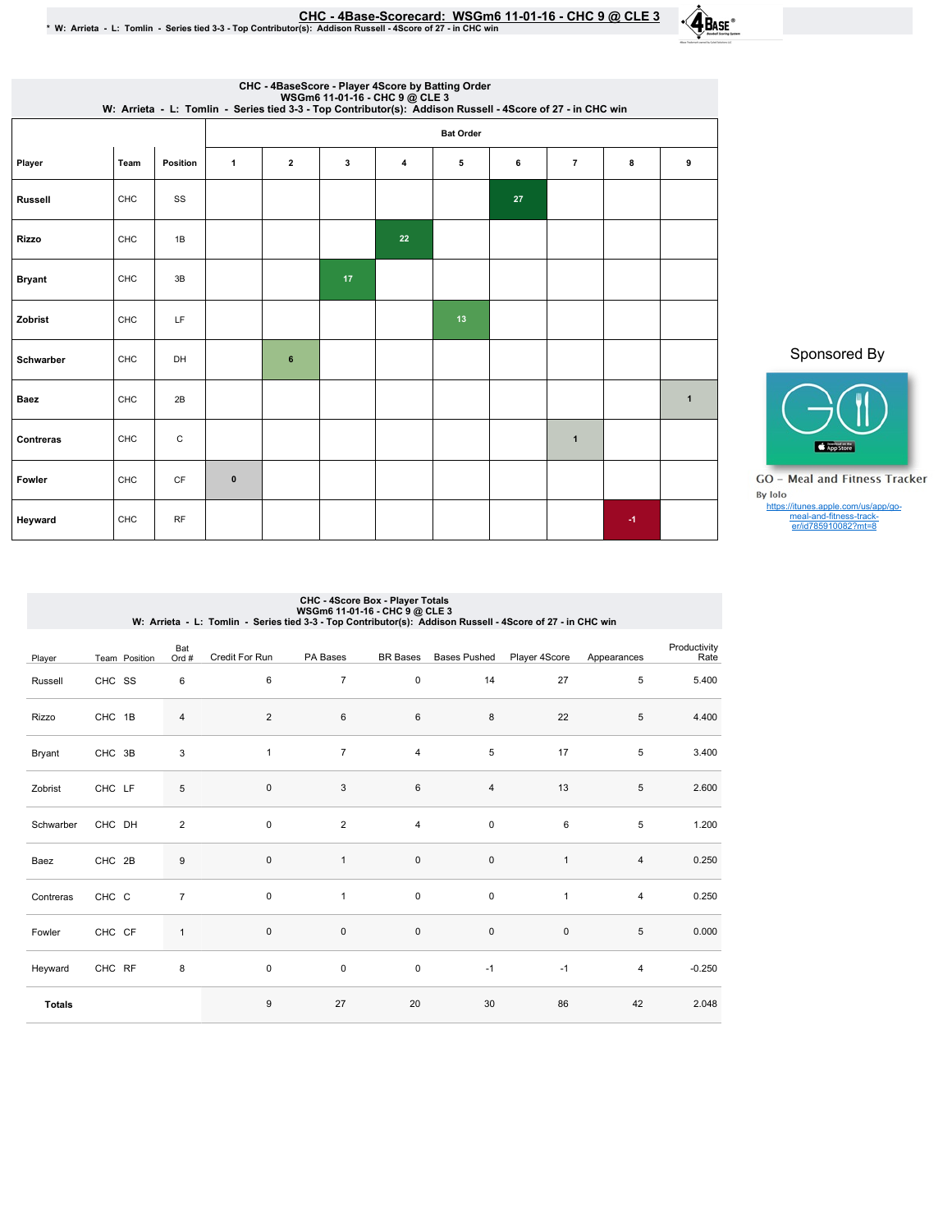|                                                                                                                     | CHC - 4Base-Scorecard: WSGm6 11-01-16 - CHC 9 $\omega$ CLE 3 |  |
|---------------------------------------------------------------------------------------------------------------------|--------------------------------------------------------------|--|
| * W:  Arrieta  -  L:  Tomlin  -  Series tied 3-3 - Top Contributor(s):  Addison Russell - 4Score of 27 - in CHC win |                                                              |  |

 $\cdot$   $\bigoplus_{\text{Base}}$ 

|                |                  |             |           |                |    |    | CHC - 4BaseScore - Player 4Score by Batting Order<br>WSGm6 11-01-16 - CHC 9 @ CLE 3<br>W: Arrieta - L: Tomlin - Series tied 3-3 - Top Contributor(s): Addison Russell - 4Score of 27 - in CHC win |    |                |    |             |  |  |
|----------------|------------------|-------------|-----------|----------------|----|----|---------------------------------------------------------------------------------------------------------------------------------------------------------------------------------------------------|----|----------------|----|-------------|--|--|
|                | <b>Bat Order</b> |             |           |                |    |    |                                                                                                                                                                                                   |    |                |    |             |  |  |
| Player         | Team             | Position    | 1         | $\overline{2}$ | 3  | 4  | 5                                                                                                                                                                                                 | 6  | $\overline{7}$ | 8  | 9           |  |  |
| <b>Russell</b> | CHC              | SS          |           |                |    |    |                                                                                                                                                                                                   | 27 |                |    |             |  |  |
| <b>Rizzo</b>   | CHC              | 1B          |           |                |    | 22 |                                                                                                                                                                                                   |    |                |    |             |  |  |
| <b>Bryant</b>  | CHC              | 3B          |           |                | 17 |    |                                                                                                                                                                                                   |    |                |    |             |  |  |
| Zobrist        | CHC              | LF          |           |                |    |    | 13                                                                                                                                                                                                |    |                |    |             |  |  |
| Schwarber      | CHC              | DH          |           | $6\phantom{1}$ |    |    |                                                                                                                                                                                                   |    |                |    |             |  |  |
| Baez           | CHC              | 2B          |           |                |    |    |                                                                                                                                                                                                   |    |                |    | $\mathbf 1$ |  |  |
| Contreras      | CHC              | $\mathbf C$ |           |                |    |    |                                                                                                                                                                                                   |    | $\mathbf{1}$   |    |             |  |  |
| Fowler         | CHC              | CF          | $\pmb{0}$ |                |    |    |                                                                                                                                                                                                   |    |                |    |             |  |  |
| Heyward        | CHC              | <b>RF</b>   |           |                |    |    |                                                                                                                                                                                                   |    |                | -1 |             |  |  |

### Sponsored By



GO - Meal and Fitness Tracker By Iolo https://itunes.apple.com/us/app/go-meal-and-fitness-track-er/id785910082?mt=8

# CHC - 4Score Box - Player Totals<br>W: Arrieta - L: Tomlin - Series tied 3-3 - Top Contributor(s): Addison Russell - 4Score of 27 - in CHC win<br>W: Arrieta - L: Tomlin - Series tied 3-3 - Top Contributor(s): Addi

| Player        |        | Team Position | Bat<br>Ord #     | Credit For Run | PA Bases       | <b>BR</b> Bases         | <b>Bases Pushed</b> | Player 4Score | Appearances    | Productivity<br>Rate |
|---------------|--------|---------------|------------------|----------------|----------------|-------------------------|---------------------|---------------|----------------|----------------------|
| Russell       | CHC SS |               | 6                | 6              | $\overline{7}$ | 0                       | 14                  | 27            | 5              | 5.400                |
| Rizzo         | CHC 1B |               | $\overline{4}$   | $\overline{2}$ | 6              | 6                       | 8                   | 22            | $\,$ 5 $\,$    | 4.400                |
| Bryant        | CHC 3B |               | 3                | $\mathbf{1}$   | $\overline{7}$ | $\overline{\mathbf{4}}$ | 5                   | 17            | 5              | 3.400                |
| Zobrist       | CHC LF |               | $\sqrt{5}$       | $\mathbf 0$    | 3              | 6                       | $\overline{4}$      | 13            | $\,$ 5 $\,$    | 2.600                |
| Schwarber     | CHC DH |               | $\sqrt{2}$       | $\mathsf 0$    | $\overline{2}$ | $\overline{4}$          | $\mathsf{O}\xspace$ | 6             | $\,$ 5 $\,$    | 1.200                |
| Baez          | CHC 2B |               | $\boldsymbol{9}$ | $\mathsf 0$    | $\mathbf{1}$   | $\mathsf 0$             | $\mathsf{O}\xspace$ | $\mathbf{1}$  | $\overline{4}$ | 0.250                |
| Contreras     | CHC C  |               | $\overline{7}$   | $\mathsf 0$    | $\mathbf{1}$   | $\pmb{0}$               | $\pmb{0}$           | $\mathbf{1}$  | $\overline{4}$ | 0.250                |
| Fowler        | CHC CF |               | $\mathbf{1}$     | $\mathsf 0$    | $\pmb{0}$      | $\mathsf 0$             | $\pmb{0}$           | $\pmb{0}$     | $\overline{5}$ | 0.000                |
| Heyward       | CHC RF |               | 8                | $\mathbf 0$    | $\pmb{0}$      | 0                       | $-1$                | $-1$          | 4              | $-0.250$             |
| <b>Totals</b> |        |               |                  | 9              | 27             | 20                      | 30                  | 86            | 42             | 2.048                |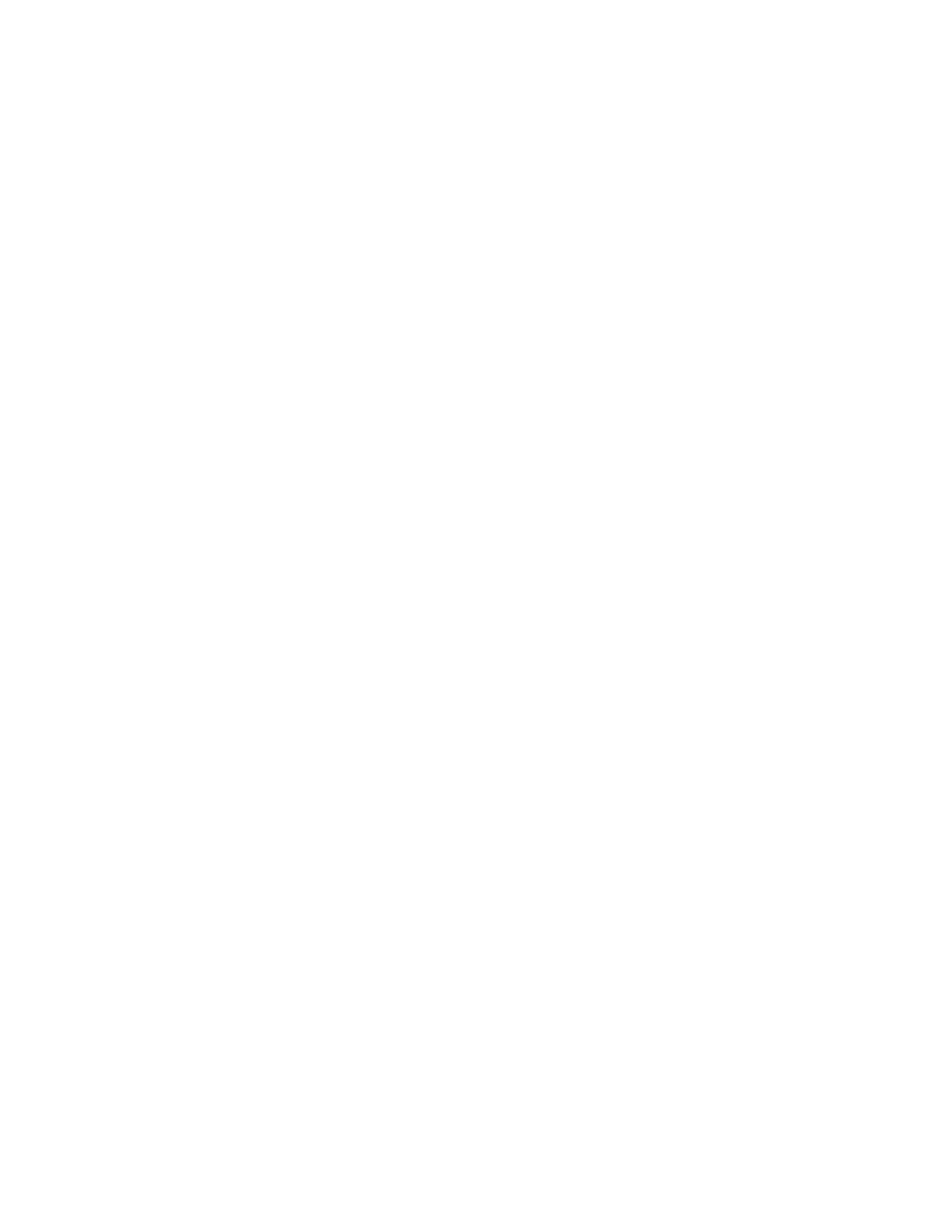|             |         |                              |  | $:6*P$ | $8+8$ # $8/$ ( | & + & %DVH6FRUH 300 HU 6FRUHE \%DWLQJ 2 UGHU                                   |  |  |                                                                         |
|-------------|---------|------------------------------|--|--------|----------------|--------------------------------------------------------------------------------|--|--|-------------------------------------------------------------------------|
|             |         |                              |  |        |                | : \$ULLHMD / 7RPOLQ 6HULHVWLHG 7RS&RQWLEXWRUV \$GGLVRQ5XVVHOD 6FRUHRI LQ&+&ZLQ |  |  |                                                                         |
|             |         |                              |  |        |                | %DW2 LGHU                                                                      |  |  |                                                                         |
| 300 HU      | 7HDP    | 3 RVIMRQ                     |  |        |                |                                                                                |  |  |                                                                         |
| 5 XVVHOO    | $8 + 8$ | 66                           |  |        |                |                                                                                |  |  |                                                                         |
| $5$ 4] $R$  | $8 + 8$ | $\%$                         |  |        |                |                                                                                |  |  |                                                                         |
| %U DOW      | $8 + 8$ | $\%$                         |  |        |                |                                                                                |  |  |                                                                         |
| $=$ REULWV  | $8 + 8$ | $\left( \frac{1}{2} \right)$ |  |        |                |                                                                                |  |  |                                                                         |
| 6 FKZ DLEHU | $8 + 8$ | $+$                          |  |        |                |                                                                                |  |  | 6 SROVRUHG %                                                            |
| %DH         | $8 + 8$ | $\%$                         |  |        |                |                                                                                |  |  |                                                                         |
| & ROWHUDV   | $8 + 8$ | &                            |  |        |                |                                                                                |  |  |                                                                         |
| ) RZ OHU    | $8 + 8$ | &)                           |  |        |                |                                                                                |  |  |                                                                         |
| $+HZDUS$    | $8 + 8$ | 5)                           |  |        |                |                                                                                |  |  | KWASV LWACHN DSSOH FRP XV DSS JR<br>PHDCDGG ILMOHAV WORN<br>HJIG<br>"PW |

 $\underbrace{8+8}_{\text{SUMB FRUFDC}} \cdot 6^* \text{ P} \cdot \text{SULHM} \quad \text{SHLHM} \quad \text{SHLHM} \quad \text{SFRUMENIRUV} \quad \text{SGAURO S} \quad \text{S/MH} \quad \text{SFRUHR} \quad \text{RRA RULH} \quad \text{SHLHM} \quad \text{S-LQ} \quad \text{S-LQ} \quad \text{S-LQ} \quad \text{S-LQ} \quad \text{S-LQ} \quad \text{S-LQ} \quad \text{S-LQ} \quad \text{S-LQ} \quad \text{S-LQ} \quad \text{S-LQ} \quad \text{S-LQ} \quad \$ 

 $8+8$  #  $8/$  (

|                     |               |               |             |  | & + & 6 FRUH%R[ 300\HU7RW20Y<br>: $6*P$ $8+8$ # $8/($ | : \$ULLHMD / 7RPOLQ 6HULHVWLHG 7RS&RQWLEXWRUV \$GGLVRQ5XVVHOD 6FRUHRI LQ&+&ZLQ |                                                                      |                     |
|---------------------|---------------|---------------|-------------|--|-------------------------------------------------------|--------------------------------------------------------------------------------|----------------------------------------------------------------------|---------------------|
| 30MHU               |               | 7HDP 3RVMLIRQ | %DW<br>2 UG |  |                                                       |                                                                                | &UHGLW, RU5XQ 3\$%DVHV %5%DVHV %DVHV3XVKHG 300\HU 6FRUH \$SSHDUDGFHV | 3 URGXFVMUW<br>5 DM |
| 5 XVMO              | $&+8.66$      |               |             |  |                                                       |                                                                                |                                                                      |                     |
| $5$ $\mu$ $\vert$ R | $&+8$ %       |               |             |  |                                                       |                                                                                |                                                                      |                     |
| <b>VAN DOW</b>      | $& 8 + 8$ %   |               |             |  |                                                       |                                                                                |                                                                      |                     |
| $=$ REUMV           | $8+8$ ()      |               |             |  |                                                       |                                                                                |                                                                      |                     |
| 6FKZDUEHU &+& '+    |               |               |             |  |                                                       |                                                                                |                                                                      |                     |
| $\%$ DH $\& + 8$ %  |               |               |             |  |                                                       |                                                                                |                                                                      |                     |
| & ROMHLDV & + & &   |               |               |             |  |                                                       |                                                                                |                                                                      |                     |
| ) RZ OHU            | $& 8 + 8 & 8$ |               |             |  |                                                       |                                                                                |                                                                      |                     |
| $+HZDIB$ $8+8$ 5)   |               |               |             |  |                                                       |                                                                                |                                                                      |                     |
| 7RWDOV              |               |               |             |  |                                                       |                                                                                |                                                                      |                     |
|                     |               |               |             |  |                                                       |                                                                                |                                                                      |                     |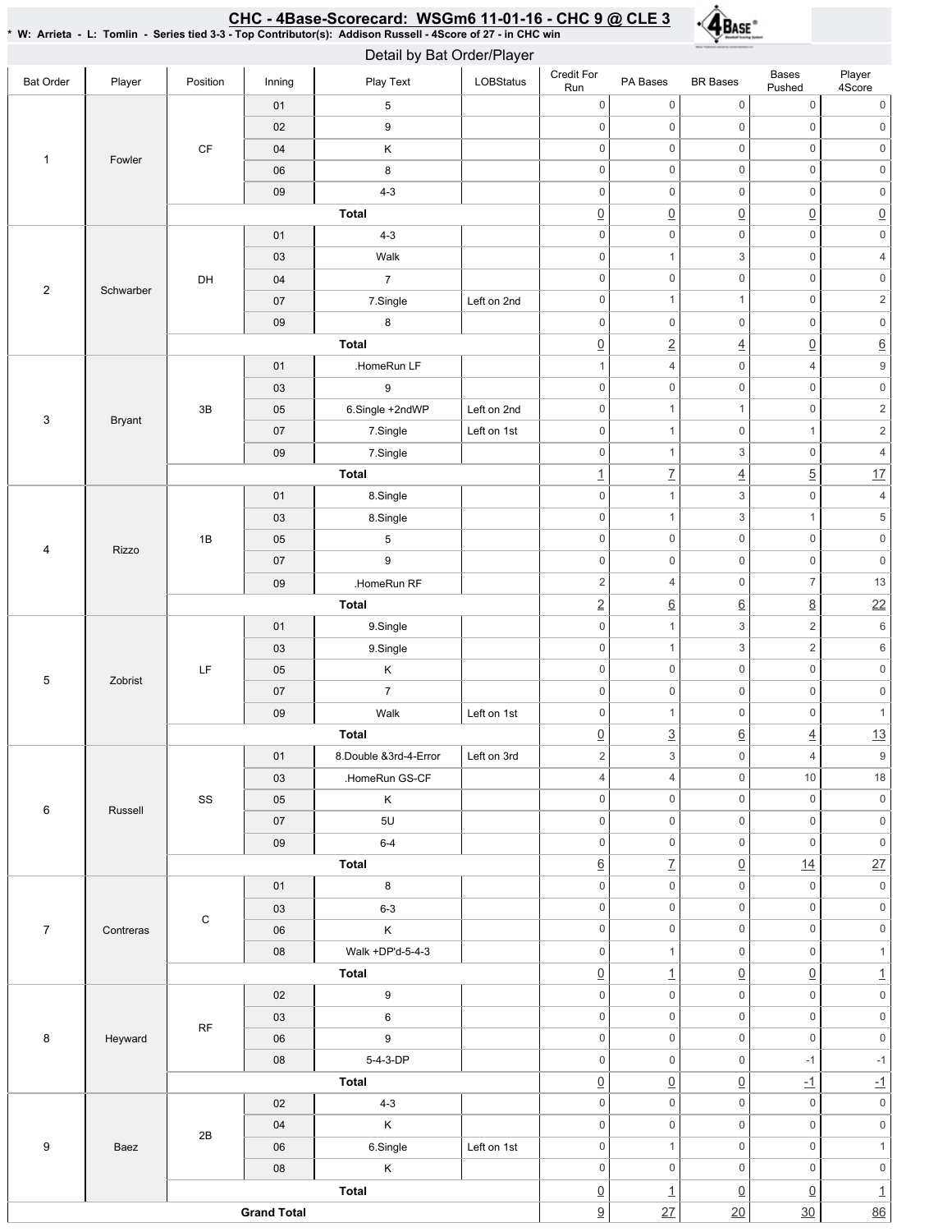#### CHC-4Base-Scorecard:WSGm611-01-16-CHC9@ CLE3

\*W:Arrieta-L:Tomlin-Seriestied3-3-TopContributor(s):AddisonRussell-4Scoreof27-inCHCwin



|                  |               |             |                    | Detail by Bat Order/Player |             |                          |                           |                           |                     |                     |
|------------------|---------------|-------------|--------------------|----------------------------|-------------|--------------------------|---------------------------|---------------------------|---------------------|---------------------|
| <b>Bat Order</b> | Player        | Position    | Inning             | Play Text                  | LOBStatus   | Credit For<br>Run        | PA Bases                  | <b>BR</b> Bases           | Bases<br>Pushed     | Player<br>4Score    |
|                  |               |             | 01                 | $\,$ 5 $\,$                |             | $\mathsf{O}\xspace$      | $\mathsf{O}\xspace$       | $\mathsf{O}\xspace$       | $\mathsf{O}\xspace$ | $\mathsf{O}\xspace$ |
|                  |               |             | $02\,$             | $\boldsymbol{9}$           |             | $\mathsf 0$              | $\mathbf 0$               | $\mathbf 0$               | $\mathsf 0$         | $\mathsf{O}\xspace$ |
| $\mathbf{1}$     | Fowler        | CF          | 04                 | Κ                          |             | $\mathbb O$              | $\mathbf 0$               | $\mathbf 0$               | $\mathsf 0$         | $\mathsf{O}\xspace$ |
|                  |               |             | ${\bf 06}$         | 8                          |             | $\mathsf 0$              | $\mathbf 0$               | $\mathbf 0$               | $\mathbf 0$         | $\mathsf{O}\xspace$ |
|                  |               |             | 09                 | $4 - 3$                    |             | $\mathbb O$              | $\mathsf{O}\xspace$       | $\mathbf 0$               | $\mathbf 0$         | $\mathsf{O}\xspace$ |
|                  |               |             |                    | <b>Total</b>               |             | $\underline{0}$          | $\underline{0}$           | $\underline{0}$           | $\underline{0}$     | $\underline{0}$     |
|                  |               |             | 01                 | $4 - 3$                    |             | $\mathbb O$              | $\mathsf{O}\xspace$       | $\mathsf{O}\xspace$       | $\mathbf 0$         | $\mathsf{0}$        |
|                  |               |             | 03                 | Walk                       |             | $\mathbb O$              | $\mathbf{1}$              | 3                         | $\mathsf 0$         | $\overline{4}$      |
| $\overline{2}$   | Schwarber     | DH          | 04                 | $\boldsymbol{7}$           |             | $\mathbb O$              | $\mathsf{O}\xspace$       | $\mathsf{O}\xspace$       | $\mathsf 0$         | $\mathsf{O}\xspace$ |
|                  |               |             | 07                 | 7.Single                   | Left on 2nd | $\mathbb O$              | $\mathbf{1}$              | $\mathbf{1}$              | $\mathsf 0$         | $\sqrt{2}$          |
|                  |               |             | $09\,$             | $\bf 8$                    |             | $\mathbb O$              | $\mathbf 0$               | $\mathsf{O}\xspace$       | $\mathbf 0$         | $\mathsf{0}$        |
|                  |               |             |                    | <b>Total</b>               |             | $\underline{0}$          | $\underline{2}$           | $\underline{4}$           | $\underline{0}$     | $\underline{6}$     |
|                  |               |             | 01                 | .HomeRun LF                |             | $\mathbf{1}$             | $\overline{4}$            | $\mathbf 0$               | $\sqrt{4}$          | $\boldsymbol{9}$    |
|                  |               |             | 03                 | 9                          |             | $\mathsf 0$              | $\mathbf 0$               | $\mathbf 0$               | $\mathsf 0$         | $\mathsf{0}$        |
| 3                |               | 3B          | $05\,$             | 6.Single +2ndWP            | Left on 2nd | $\mathsf 0$              | $\mathbf{1}$              | $\mathbf{1}$              | $\mathsf 0$         | $\sqrt{2}$          |
|                  | <b>Bryant</b> |             | 07                 | 7.Single                   | Left on 1st | $\mathsf 0$              | $\mathbf{1}$              | $\mathsf{O}\xspace$       | $\mathbf{1}$        | $\overline{c}$      |
|                  |               |             | 09                 | 7.Single                   |             | $\mathbb O$              | $\mathbf{1}$              | 3                         | $\mathsf 0$         | $\sqrt{4}$          |
|                  |               |             |                    | Total                      |             | $\underline{\mathbf{1}}$ | $\underline{7}$           | $\underline{4}$           | $\overline{5}$      | 17                  |
|                  |               |             | 01                 |                            | $\mathbb O$ | $\mathbf{1}$             | $\ensuremath{\mathsf{3}}$ | $\mathsf{O}\xspace$       | $\overline{4}$      |                     |
|                  |               |             | 03                 | 8.Single                   |             | $\mathbb O$              | $\mathbf{1}$              | 3                         | $\mathbf{1}$        | $\,$ 5 $\,$         |
|                  |               | 1B          | 05                 | $\,$ 5 $\,$                |             | $\mathsf{O}\xspace$      | $\mathsf{O}\xspace$       | $\mathsf{O}\xspace$       | $\mathsf 0$         | $\mathsf{O}\xspace$ |
| 4                | Rizzo         |             | 07                 | 9                          |             | $\mathbb O$              | $\mathsf{O}\xspace$       | $\mathsf{O}\xspace$       | $\mathsf 0$         | $\mathsf{0}$        |
|                  |               |             | 09                 | .HomeRun RF                |             | $\sqrt{2}$               | $\overline{4}$            | $\mathbf 0$               | $\boldsymbol{7}$    | 13                  |
|                  |               |             |                    | Total                      |             | $\underline{2}$          | $\underline{6}$           | $\underline{6}$           | $\underline{8}$     | 22                  |
|                  |               |             | 01                 | 9.Single                   |             | $\mathbb O$              | $\mathbf{1}$              | $\ensuremath{\mathsf{3}}$ | $\sqrt{2}$          | $\,6\,$             |
|                  |               |             | 03                 | 9.Single                   |             | $\mathsf{O}\xspace$      | $\mathbf{1}$              | $\ensuremath{\mathsf{3}}$ | $\sqrt{2}$          | $\,6\,$             |
|                  |               | LF          | 05                 | Κ                          |             | $\mathbb O$              | $\mathsf{O}\xspace$       | $\mathbf 0$               | $\mathsf{O}\xspace$ | $\mathsf{O}\xspace$ |
| 5                | Zobrist       |             | $07\,$             | $\overline{7}$             |             | $\mathbb O$              | $\mathsf{O}\xspace$       | $\mathsf{O}\xspace$       | $\mathsf 0$         | $\mathsf{O}\xspace$ |
|                  |               |             | $09\,$             | Walk                       | Left on 1st | $\mathbb O$              | $\mathbf{1}$              | $\mathbf 0$               | $\mathsf{O}\xspace$ | $\mathbf{1}$        |
|                  |               |             |                    | <b>Total</b>               |             | $\underline{0}$          | $\underline{3}$           | $\underline{6}$           | $\overline{4}$      | 13                  |
|                  |               |             | 01                 | 8.Double &3rd-4-Error      | Left on 3rd | $\overline{2}$           | 3                         | $\boldsymbol{0}$          | $\overline{4}$      | 9                   |
|                  |               |             | 03                 | .HomeRun GS-CF             |             | $\overline{4}$           | $\overline{4}$            | $\mathsf{O}\xspace$       | $10$                | $18$                |
| 6                | Russell       | $_{\rm SS}$ | 05                 | Κ                          |             | $\mathbf 0$              | $\mathbf 0$               | $\mathsf{O}\xspace$       | $\mathsf 0$         | $\mathsf{O}\xspace$ |
|                  |               |             | 07                 | $5U$                       |             | $\mathsf 0$              | $\mathsf{O}\xspace$       | $\mathbf 0$               | $\mathsf 0$         | $\mathsf{O}\xspace$ |
|                  |               |             | 09                 | $6 - 4$                    |             | $\mathbf 0$              | $\mathbf 0$               | $\boldsymbol{0}$          | $\mathsf 0$         | $\mathbb O$         |
|                  |               |             |                    | <b>Total</b>               |             | $\underline{6}$          | $\underline{\mathcal{I}}$ | $\underline{0}$           | 14                  | 27                  |
|                  |               |             | 01                 | 8                          |             | $\mathbf 0$              | $\mathsf{O}\xspace$       | $\mathsf 0$               | $\mathsf{O}\xspace$ | $\mathsf{O}\xspace$ |
|                  |               | C           | 03                 | $6 - 3$                    |             | $\mathbf 0$              | $\mathbf 0$               | $\mathbf 0$               | $\mathbf 0$         | $\mathbf 0$         |
| $\overline{7}$   | Contreras     |             | 06                 | Κ                          |             | $\mathsf{O}\xspace$      | $\mathbf 0$               | $\mathbf 0$               | 0                   | $\mathsf{O}\xspace$ |
|                  |               |             | 08                 | Walk +DP'd-5-4-3           |             | $\mathsf{O}$             | $\mathbf{1}$              | $\mathsf 0$               | $\mathsf{O}\xspace$ | $\mathbf{1}$        |
|                  |               |             |                    | <b>Total</b>               |             | $\underline{0}$          | $\overline{1}$            | $\underline{0}$           | $\underline{0}$     | $\overline{1}$      |
|                  |               |             | 02                 | 9                          |             | $\mathsf 0$              | $\mathbf 0$               | $\mathbf 0$               | $\mathbf 0$         | $\mathsf{O}\xspace$ |
|                  |               | RF          | 03                 | 6                          |             | $\mathsf{O}\xspace$      | $\mathsf 0$               | $\mathbf 0$               | $\mathsf{O}\xspace$ | $\mathsf{O}\xspace$ |
| 8                | Heyward       |             | 06                 | 9                          |             | $\mathbf 0$              | $\mathbf 0$               | $\boldsymbol{0}$          | $\mathbf 0$         | $\mathsf{O}\xspace$ |
|                  |               |             | 08                 | 5-4-3-DP                   |             | $\mathsf 0$              | $\mathbf 0$               | $\mathsf{O}\xspace$       | $-1$                | $-1$                |
|                  |               |             |                    | <b>Total</b>               |             | $\underline{0}$          | $\underline{0}$           | $\underline{0}$           | $-1$                | $-1$                |
|                  |               |             | 02                 | $4 - 3$                    |             | $\mathsf 0$              | $\mathsf 0$               | $\mathbf 0$               | $\mathsf 0$         | $\mathsf{O}\xspace$ |
|                  |               | 2B          | 04                 | Κ                          |             | $\mathsf 0$              | $\mathsf 0$               | $\mathsf{O}\xspace$       | 0                   | $\mathsf{O}\xspace$ |
| 9                | Baez          |             | 06                 | 6.Single                   | Left on 1st | $\mathsf{O}\xspace$      | $\mathbf{1}$              | $\mathsf 0$               | $\mathsf{O}\xspace$ | $\mathbf{1}$        |
|                  |               |             | 08                 | Κ                          |             | $\mathbf 0$              | $\mathsf 0$               | $\mathbf 0$               | $\mathbf 0$         | $\mathsf{O}\xspace$ |
| <b>Total</b>     |               |             |                    |                            |             |                          | $\overline{1}$            | $\underline{0}$           | $\underline{0}$     | $\perp$             |
|                  |               |             | <b>Grand Total</b> | $\underline{9}$            | 27          | 20                       | 30                        | $\underline{86}$          |                     |                     |